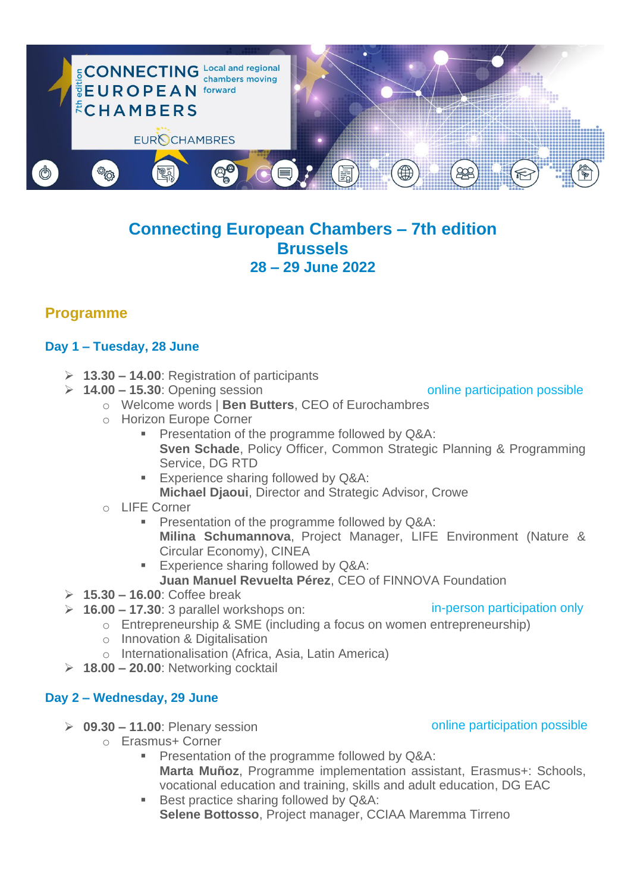

# **Connecting European Chambers – 7th edition Brussels 28 – 29 June 2022**

## **Programme**

## **Day 1 – Tuesday, 28 June**

- ➢ **13.30 – 14.00**: Registration of participants
- ➢ **14.00 – 15.30**: Opening session

online participation possible

- o Welcome words | **Ben Butters**, CEO of Eurochambres
- o Horizon Europe Corner
	- **Presentation of the programme followed by Q&A: Sven Schade**, Policy Officer, Common Strategic Planning & Programming Service, DG RTD
	- **Experience sharing followed by Q&A: Michael Djaoui**, Director and Strategic Advisor, Crowe
- o LIFE Corner
	- **Presentation of the programme followed by Q&A: Milina Schumannova**, Project Manager, LIFE Environment (Nature & Circular Economy), CINEA
	- **Experience sharing followed by Q&A: Juan Manuel Revuelta Pérez**, CEO of FINNOVA Foundation
- ➢ **15.30 – 16.00**: Coffee break
- ➢ **16.00 – 17.30**: 3 parallel workshops on:
- in-person participation only
- o Entrepreneurship & SME (including a focus on women entrepreneurship)
- o Innovation & Digitalisation
- o Internationalisation (Africa, Asia, Latin America)
- ➢ **18.00 – 20.00**: Networking cocktail

#### **Day 2 – Wednesday, 29 June**

- ➢ **09.30 – 11.00**: Plenary session
	- o Erasmus+ Corner
		- **Presentation of the programme followed by Q&A: Marta Muñoz**, Programme implementation assistant, Erasmus+: Schools, vocational education and training, skills and adult education, DG EAC
		- Best practice sharing followed by Q&A: **Selene Bottosso**, Project manager, CCIAA Maremma Tirreno

### online participation possible